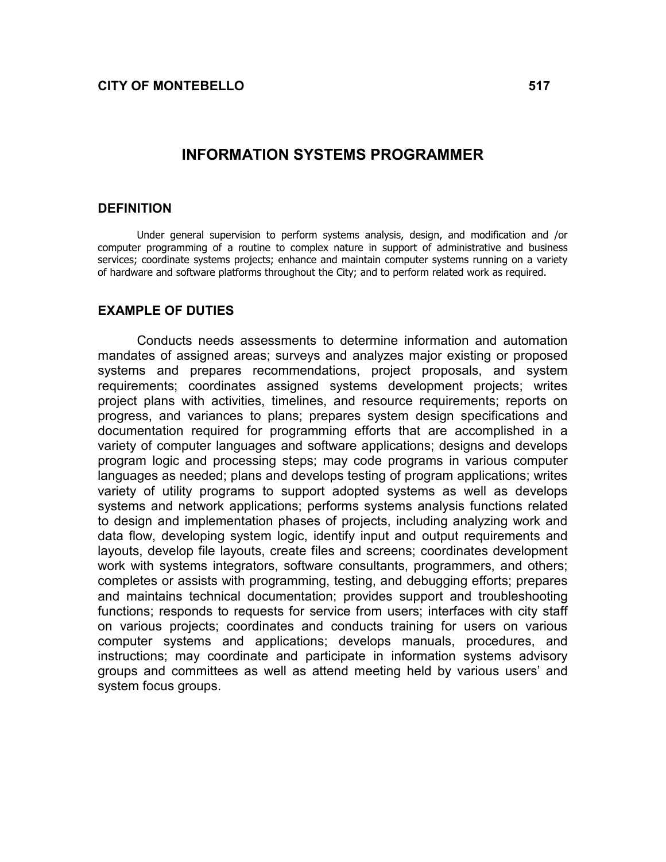#### INFORMATION SYSTEMS PROGRAMMER

#### **DEFINITION**

Under general supervision to perform systems analysis, design, and modification and /or computer programming of a routine to complex nature in support of administrative and business services; coordinate systems projects; enhance and maintain computer systems running on a variety of hardware and software platforms throughout the City; and to perform related work as required.

#### EXAMPLE OF DUTIES

Conducts needs assessments to determine information and automation mandates of assigned areas; surveys and analyzes major existing or proposed systems and prepares recommendations, project proposals, and system requirements; coordinates assigned systems development projects; writes project plans with activities, timelines, and resource requirements; reports on progress, and variances to plans; prepares system design specifications and documentation required for programming efforts that are accomplished in a variety of computer languages and software applications; designs and develops program logic and processing steps; may code programs in various computer languages as needed; plans and develops testing of program applications; writes variety of utility programs to support adopted systems as well as develops systems and network applications; performs systems analysis functions related to design and implementation phases of projects, including analyzing work and data flow, developing system logic, identify input and output requirements and layouts, develop file layouts, create files and screens; coordinates development work with systems integrators, software consultants, programmers, and others; completes or assists with programming, testing, and debugging efforts; prepares and maintains technical documentation; provides support and troubleshooting functions; responds to requests for service from users; interfaces with city staff on various projects; coordinates and conducts training for users on various computer systems and applications; develops manuals, procedures, and instructions; may coordinate and participate in information systems advisory groups and committees as well as attend meeting held by various users' and system focus groups.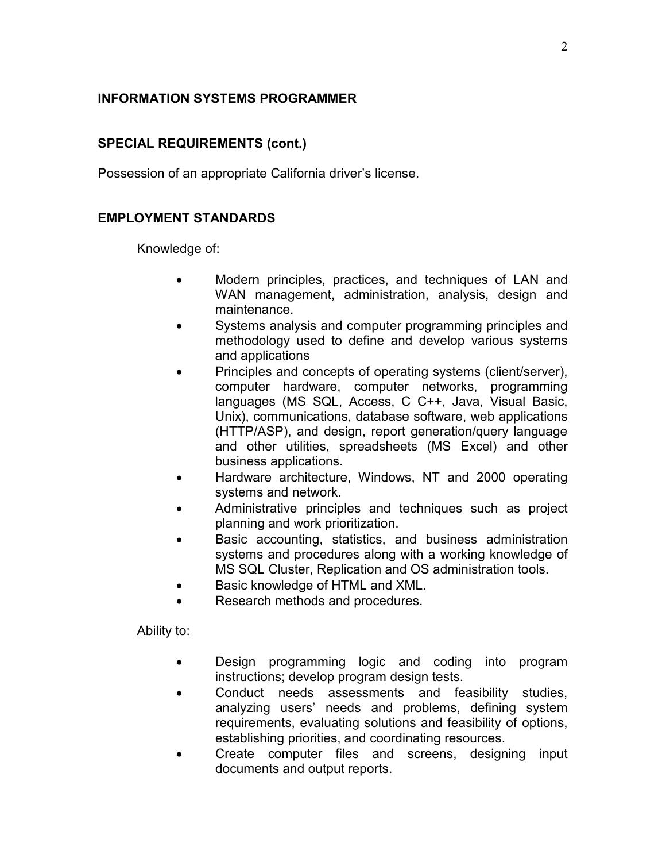# INFORMATION SYSTEMS PROGRAMMER

# SPECIAL REQUIREMENTS (cont.)

Possession of an appropriate California driver's license.

### EMPLOYMENT STANDARDS

Knowledge of:

- Modern principles, practices, and techniques of LAN and WAN management, administration, analysis, design and maintenance.
- Systems analysis and computer programming principles and methodology used to define and develop various systems and applications
- Principles and concepts of operating systems (client/server), computer hardware, computer networks, programming languages (MS SQL, Access, C C++, Java, Visual Basic, Unix), communications, database software, web applications (HTTP/ASP), and design, report generation/query language and other utilities, spreadsheets (MS Excel) and other business applications.
- Hardware architecture, Windows, NT and 2000 operating systems and network.
- Administrative principles and techniques such as project planning and work prioritization.
- Basic accounting, statistics, and business administration systems and procedures along with a working knowledge of MS SQL Cluster, Replication and OS administration tools.
- Basic knowledge of HTML and XML.
- Research methods and procedures.

Ability to:

- Design programming logic and coding into program instructions; develop program design tests.
- Conduct needs assessments and feasibility studies, analyzing users' needs and problems, defining system requirements, evaluating solutions and feasibility of options, establishing priorities, and coordinating resources.
- Create computer files and screens, designing input documents and output reports.